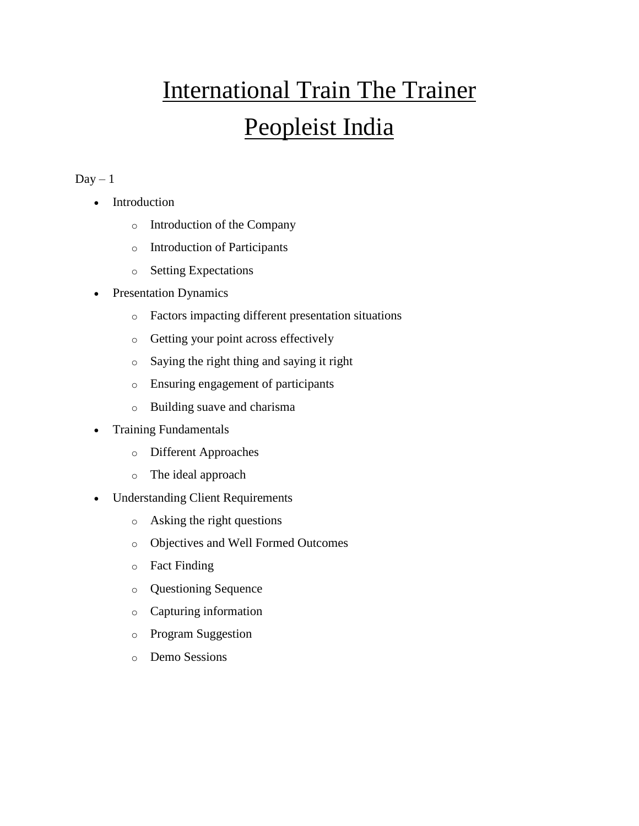## International Train The Trainer Peopleist India

## $Day - 1$

- Introduction
	- o Introduction of the Company
	- o Introduction of Participants
	- o Setting Expectations
- Presentation Dynamics
	- o Factors impacting different presentation situations
	- o Getting your point across effectively
	- o Saying the right thing and saying it right
	- o Ensuring engagement of participants
	- o Building suave and charisma
- Training Fundamentals
	- o Different Approaches
	- o The ideal approach
- Understanding Client Requirements
	- o Asking the right questions
	- o Objectives and Well Formed Outcomes
	- o Fact Finding
	- o Questioning Sequence
	- o Capturing information
	- o Program Suggestion
	- o Demo Sessions